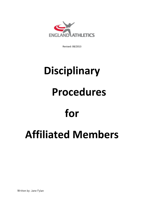

Revised: 08/2013

# **Disciplinary Procedures for Affiliated Members**

Written by: Jane Fylan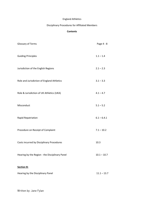# England Athletics

# Disciplinary Procedures for Affiliated Members

#### **Contents**

| Glossary of Terms                              | Page 4 - 8    |
|------------------------------------------------|---------------|
| <b>Guiding Principles</b>                      | $1.1 - 1.4$   |
| Jurisdiction of the English Regions            | $2.1 - 2.3$   |
| Role and Jurisdiction of England Athletics     | $3.1 - 3.3$   |
| Role & Jurisdiction of UK Athletics (UKA)      | $4.1 - 4.7$   |
| Misconduct                                     | $5.1 - 5.2$   |
| Rapid Repatriation                             | $6.1 - 6.4.1$ |
| Procedure on Receipt of Complaint              | $7.1 - 10.2$  |
| Costs incurred by Disciplinary Procedures      | 10.3          |
| Hearing by the Region - the Disciplinary Panel | $10.1 - 10.7$ |
| <b>Section B:</b>                              |               |
| Hearing by the Disciplinary Panel              | $11.1 - 13.7$ |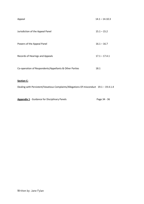| Appeal                                                 | $14.1 - 14.10.3$ |
|--------------------------------------------------------|------------------|
| Jurisdiction of the Appeal Panel                       | $15.1 - 15.2$    |
| Powers of the Appeal Panel                             | $16.1 - 16.7$    |
| Records of Hearings and Appeals                        | $17.1 - 17.4.1$  |
| Co-operation of Respondents/Appellants & Other Parties | 18.1             |
| <b>Section C:</b>                                      |                  |

Dealing with Persistent/Vexatious Complaints/Allegations Of misconduct 19.1 – 19.4.1.4

Appendix 1 - Guidance for Disciplinary Panels Page 34 - 36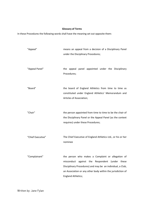# **Glossary of Terms**

In these Procedures the following words shall have the meaning set out opposite them:

| "Appeal"          | means an appeal from a decision of a Disciplinary Panel<br>under the Disciplinary Procedures;                                                                                                                                                                    |
|-------------------|------------------------------------------------------------------------------------------------------------------------------------------------------------------------------------------------------------------------------------------------------------------|
| "Appeal Panel"    | the appeal panel appointed under the Disciplinary<br>Procedures;                                                                                                                                                                                                 |
| "Board"           | the board of England Athletics from time to time as<br>constituted under England Athletics' Memorandum and<br>Articles of Association;                                                                                                                           |
| "Chair"           | the person appointed from time to time to be the chair of<br>the Disciplinary Panel or the Appeal Panel (as the context<br>requires) under these Procedures;                                                                                                     |
| "Chief Executive" | The Chief Executive of England Athletics Ltd., or his or her<br>nominee                                                                                                                                                                                          |
| 'Complainant"     | the person who makes a Complaint or allegation of<br>misconduct<br>against the Respondent (under these<br>Disciplinary Procedures) and may be an individual, a Club,<br>an Association or any other body within the jurisdiction of<br><b>England Athletics;</b> |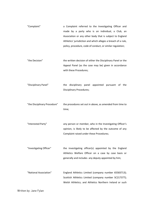"Complaint" a Complaint referred to the Investigating Officer and made by a party who is an individual, a Club, an Association or any other body that is subject to England Athletics' jurisdiction and which alleges a breach of a rule, policy, procedure, code of conduct, or similar regulation;

"the Decision" the written decision of either the Disciplinary Panel or the Appeal Panel (as the case may be) given in accordance with these Procedures;

"Disciplinary Panel" the disciplinary panel appointed pursuant of the Disciplinary Procedures;

"the Disciplinary Procedure" the procedures set out in above, as amended from time to time;

"Interested Party" any person or member, who in the Investigating Officer's opinion, is likely to be affected by the outcome of any Complaint raised under these Procedures;

"Investigating Officer" the investigating officer(s) appointed by the England Athletics Welfare Officer on a case by case basis or generally and includes any deputy appointed by him;

"National Association" England Athletics Limited (company number 65583713); Scottish Athletics Limited (company number SC217377); Welsh Athletics; and Athletics Northern Ireland or such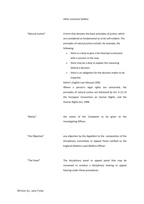other successor bodies;

| "Natural Justice" | A term that denotes the basic principles of justice, which       |
|-------------------|------------------------------------------------------------------|
|                   | are considered so fundamental as to be self-evident. The         |
|                   | principles of natural justice include, for example, the          |
|                   | following:                                                       |
|                   | there is a duty to give a fair hearing to everyone<br>$\bullet$  |
|                   | with a concern in the case.                                      |
|                   | there may be a duty to explain the reasoning<br>$\bullet$        |
|                   | behind a decision.                                               |
|                   | there is an obligation for the decision maker to be<br>$\bullet$ |
|                   | impartial.                                                       |
|                   | Kelvin's English Law Glossary 2002                               |
|                   | Where a person's legal rights are concerned, the                 |
|                   | principles of natural justice are bolstered by Art. 6 (1) of     |
|                   | the European Convention on Human Rights, and the                 |
|                   | Human Rights Act, 1998.                                          |
|                   |                                                                  |
|                   |                                                                  |
| "Notice"          | the notice of the Complaint to be given to the                   |
|                   | Investigating Officer;                                           |
|                   |                                                                  |
|                   |                                                                  |
| "the Objection"   | any objection by the Appellant to the composition of the         |
|                   | Disciplinary Committee or Appeal Panel notified to the           |
|                   | England Athletics Lead Welfare Officer;                          |
|                   |                                                                  |
|                   |                                                                  |
| "The Panel"       | The disciplinary panel or appeal panel that may be               |
|                   | convened to conduct a disciplinary hearing or appeal             |
|                   | hearing under these procedures;                                  |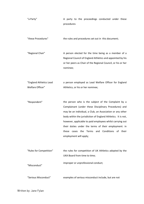| "a Party"                                   | A party to the proceedings conducted under these<br>procedures                                                                                                                                                                                                                                                                                                                                                                                   |
|---------------------------------------------|--------------------------------------------------------------------------------------------------------------------------------------------------------------------------------------------------------------------------------------------------------------------------------------------------------------------------------------------------------------------------------------------------------------------------------------------------|
| "these Procedures"                          | the rules and procedures set out in this document;                                                                                                                                                                                                                                                                                                                                                                                               |
| "Regional Chair"                            | A person elected for the time being as a member of a<br>Regional Council of England Athletics and appointed by his<br>or her peers as Chair of the Regional Council, or his or her<br>nominee;                                                                                                                                                                                                                                                   |
| "England Athletics Lead<br>Welfare Officer" | a person employed as Lead Welfare Officer for England<br>Athletics, or his or her nominee;                                                                                                                                                                                                                                                                                                                                                       |
|                                             |                                                                                                                                                                                                                                                                                                                                                                                                                                                  |
| "Respondent"                                | the person who is the subject of the Complaint by a<br>Complainant (under these Disciplinary Procedures) and<br>may be an individual, a Club, an Association or any other<br>body within the jurisdiction of England Athletics. It is not,<br>however, applicable to paid employees whilst carrying out<br>their duties under the terms of their employment: in<br>Conditions of<br>these cases the Terms and<br>their<br>employment will apply; |
| "Rules for Competition"<br>"Misconduct"     | the rules for competition of UK Athletics adopted by the<br>UKA Board from time to time;<br>improper or unprofessional conduct;                                                                                                                                                                                                                                                                                                                  |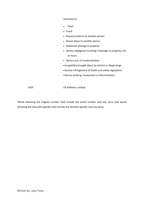restricted to:

- Theft
- Fraud
- Physical violence to another person
- Sexual abuse to another person
- Deliberate damage to property
- Serious negligence resulting in damage to property, loss or injury
- Serious acts of insubordination
- Incapability brought about by alcohol or illegal drugs
- Serious infringement of health and safety regulations
- Serious bullying, harassment or discrimination;

"UKA" UK Athletics Limited.

Words denoting the singular number shall include the plural number and vice versa and words denoting the masculine gender shall include the feminine gender and vice versa.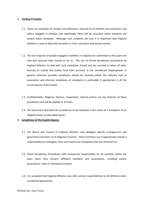#### **1. Guiding Principles**

- 1.1. There are standards of conduct and behaviour required of all athletes and volunteers and others engaged in athletics and regrettably there will be occasions when someone will breach those standards. Although such incidents are rare it is important that England Athletics is seen to deal with breaches in a fair, consistent and timely manner.
- 1.2. The vast majority of people engaged in athletics in England are committed to the sport and take part because they choose to do so. The use of formal disciplinary procedures by England Athletics to deal with such individuals should only be resorted to when all other avenues to resolve the matter have been pursued, or are considered inappropriate. In general wherever possible complaints should be resolved within the relevant club or association and informal resolutions of complaints is preferable if appropriate in all the circumstances of the matter.
- 1.3. Confidentiality, diligence, fairness, impartiality, natural justices are key features of these procedures and will be applied at all times.
- 1.4. This document describes the procedures to be followed in the event of a Complaint of an alleged breach, as described above.

#### **2. Jurisdiction of the English Regions**

- 2.1. The Board and Council of England Athletics may delegate specific management and governance functions to its Regional Councils. These functions can if appropriate include a responsibility to investigate, hear and resolve any Complaints that are referred to it.
- 2.2. These Disciplinary Procedures shall incorporate responsibility for all activities within the sport when they concern affiliated members and associations, including county associations, clubs or individual members.
- 2.3. It is accepted that England Athletics may refer certain responsibilities to UK Athletics when considered appropriate.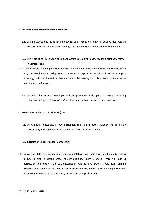#### **3. Role and Jurisdiction of England Athletics**

- 3.1. England Athletics is the governing body for all branches of athletics in England incorporating cross country, fell and hill, race walking, trail running, road running and track and field.
- 3.2. The Articles of Association of England Athletics Ltd grant authority for disciplinary matters in Section 7 (e):
- 3.2.1."The directors, following consultation with the England Council, may from time to time make, vary and revoke Membership Rules relating to all aspects of membership of the Company including, (without limitation) Membership Rules setting out disciplinary procedures for members and athletes."
	- 3.3. England Athletics is an employer and any grievance or disciplinary matters concerning members of England Athletics' staff shall be dealt with under separate procedures.

## **4. Role & Jurisdiction of UK Athletics (UKA)**

4.1. UK Athletics Limited has its own disciplinary rules and dispute resolution and disciplinary procedures, adopted by its Board under UKA's Articles of Association.

#### 4.2. Jurisdiction under Rules for Competition

4.2.1.Under the Rules for Competition England Athletics have their own jurisdiction to resolve disputes arising in certain areas (namely eligibility (Rules 3 and 6), hardship (Rule 6), permission to promote (Rule 12), misconduct (Rule 22) and protests (Rule 23)). England Athletics have their own procedures for disputes and disciplinary matters falling within their jurisdiction (see below) and these may provide for an appeal to UKA.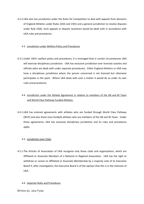4.2.2.UKA also has jurisdiction under the Rules for Competition to deal with appeals from decisions of England Athletics under Rules 22(4) and 23(5) and a general jurisdiction to resolve disputes under Rule 23(6). Such appeals or dispute resolution would be dealt with in accordance with UKA rules and procedures.

#### 4.3. Jurisdiction under Welfare Policy and Procedures

- 4.3.1.Under UKA's welfare policy and procedures, it is envisaged that in certain circumstances UKA will exercise disciplinary jurisdiction. UKA has exclusive jurisdiction over licensed coaches and officials (who are dealt with under separate procedures). Either England Athletics or UKA may have a disciplinary jurisdiction where the person concerned is not licensed but otherwise participates in the sport. Where UKA deals with such a matter it would do so under its own rules and procedures.
	- 4.4. Jurisdiction under the Athlete Agreement in relation to members of the GB and NI Team and World Class Pathway Funded Athletes.
- 4.4.1.UKA has entered agreements with athletes who are funded through World Class Pathway (WCP) and also those (non-funded) athletes who are members of the GB and NI Team. Under those agreements, UKA has exclusive disciplinary jurisdiction and its rules and procedures apply.

#### 4.5. Jurisdiction over Clubs

4.5.1.The Articles of Association of UKA recognise only those clubs and organisations, which are Affiliated or Associate Members of a National or Regional Association. UKA has the right to withdraw or cancel an Affiliated or Associate Membership by a majority vote of its Executive Board if, after investigation, the Executive Board is of the opinion that this is in the interests of UKA.

#### 4.6. Separate Rules and Procedures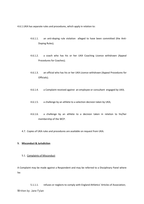4.6.1.UKA has separate rules and procedures, which apply in relation to:

- 4.6.1.1. an anti-doping rule violation alleged to have been committed (the Anti-Doping Rules);
- 4.6.1.2. a coach who has his or her UKA Coaching Licence withdrawn (Appeal Procedures for Coaches);
- 4.6.1.3. an official who has his or her UKA Licence withdrawn (Appeal Procedures for Officials);
- 4.6.1.4. a Complaint received against an employee or consultant engaged by UKA;
- 4.6.1.5. a challenge by an athlete to a selection decision taken by UKA;
- 4.6.1.6. a challenge by an athlete to a decision taken in relation to his/her membership of the WCP.
- 4.7. Copies of UKA rules and procedures are available on request from UKA.

#### **5. Misconduct & Jurisdiction**

5.1. Complaints of Misconduct

A Complaint may be made against a Respondent and may be referred to a Disciplinary Panel where he:

5.1.1.1. refuses or neglects to comply with England Athletics' Articles of Association;Written by: Jane Fylan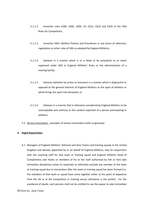- 5.1.1.2. breaches rules 12(8), 14(6), 14(9), 19, 22(1), 22(2) and 22(3) of the UKA Rules for Competition;
- 5.1.1.3. breaches UKA's Welfare Policies and Procedures or any terms of reference, regulations or other rules of UKA as adopted by England Athletics;
- 5.1.1.4. behaves in a manner which is or is likely to be prejudicial to an event organised under UKA or England Athletics' Rules or the administration of a training facility;
- 5.1.1.5. behaves (whether by action or omission) in a manner which is disgraceful or opposed to the general interests of England Athletics or the sport of athletics or which brings the sport into disrepute; or
- 5.1.1.6. behaves in a manner that is otherwise considered by England Athletics to be unacceptable and contrary to the conduct expected of a person participating in athletics.
- 5.2. Serious misconduct examples of serious misconduct (refer to glossary):

#### **6. Rapid Repatriation**

6.1. Managers of England Athletics' National and Area Teams and training squads in the United Kingdom and abroad, appointed by or on behalf of England Athletics, may (in conjunction with the coaching staff for that team or training squad and England Athletics Head of Competitions and Teams or members of his or her staff authorised by him or her) take immediate disciplinary action to repatriate or otherwise exclude any member of the team or training squad due to misconduct after the team or training squad has been formed (i.e. the members of that team or squad have come together either at the point of departure from the UK or at the competition or training venue, whichever is the earlier). For the avoidance of doubt, such persons shall not be entitled to use the power to take immediate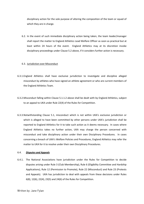disciplinary action for the sole purpose of altering the composition of the team or squad of which they are in charge.

6.2. In the event of such immediate disciplinary action being taken, the team leader/manager shall report the matter to England Athletics Lead Welfare Officer as soon as practical but at least within 24 hours of the event. England Athletics may at its discretion invoke disciplinary proceedings under Clause 5.2 above, if it considers further action is necessary.

#### 6.3. Jurisdiction over Misconduct

- 6.3.1.England Athletics shall have exclusive jurisdiction to investigate and discipline alleged misconduct by athletes who have signed an athlete agreement or who are current members of the England Athletics Team.
- 6.3.2.Misconduct falling within Clause 5.1.1.2 above shall be dealt with by England Athletics, subject to an appeal to UKA under Rule 22(4) of the Rules for Competition.
- 6.3.3.Notwithstanding Clause 5.1, misconduct which is not within UKA's exclusive jurisdiction or which is alleged to have been committed by other persons under UKA's jurisdiction shall be reported to England Athletics for it to take such action as it deems necessary. In cases where England Athletics takes no further action, UKA may charge the person concerned with misconduct and take disciplinary action under their own Disciplinary Procedures. In cases concerning a breach of UKA's Welfare Policies and Procedures, England Athletics may refer the matter to UKA for it to resolve under their own Disciplinary Procedures.

#### 6.4. *Disputes and Appeals*

6.4.1. The National Associations have jurisdiction under the Rules for Competition to decide disputes arising under Rule 3 (Club Membership), Rule 6 (Eligibility Committee and Hardship Applications), Rule 12 (Permission to Promote), Rule 22 (Misconduct) and Rule 23 (Protests and Appeals). UKA has jurisdiction to deal with appeals from these decisions under Rules 6(8), 12(6), 22(4), 23(5) and 24(6) of the Rules for Competition.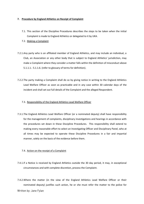#### **7. Procedure by England Athletics on Receipt of Complaint**

- 7.1. This section of the Discipline Procedures describes the steps to be taken when the initial Complaint is made to England Athletics or delegated to it by UKA.
- 7.2. Making a Complaint
- 7.2.1.Any party who is an affiliated member of England Athletics, and may include an individual, a Club, an Association or any other body that is subject to England Athletics' jurisdiction, may make a Complaint where they consider a matter falls within the definition of misconduct above 5.1.1.1.- 5.1.1.6. (refer to glossary of terms for definition).
- 7.2.2.The party making a Complaint shall do so by giving notice in writing to the England Athletics Lead Welfare Officer as soon as practicable and in any case within 30 calendar days of the incident and shall set out full details of the Complaint and the alleged Respondent.

#### 7.3. Responsibility of the England Athletics Lead Welfare Officer

7.3.1.The England Athletics Lead Welfare Officer (or a nominated deputy) shall have responsibility for the management of complaints, disciplinary investigations and hearings in accordance with the procedures set down in these Discipline Procedures. This responsibility shall extend to making every reasonable effort to select an Investigating Officer and Disciplinary Panel, who at all times may be expected to operate these Discipline Procedures in a fair and impartial manner, solely on the basis of the evidence before them.

#### 7.4. Action on the receipt of a Complaint

- 7.4.1.If a Notice is received by England Athletics outside the 30 day period, it may, in exceptional circumstances and with complete discretion, process the Complaint.
- 7.4.2.Where the matter (in the view of the England Athletics Lead Welfare Officer or their nominated deputy) justifies such action, he or she must refer the matter to the police for Written by: Jane Fylan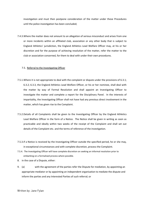investigation and must then postpone consideration of the matter under these Procedures until the police investigation has been concluded;

7.4.3.Where the matter does not amount to an allegation of serious misconduct and arises from one or more incidents within an affiliated club, association or any other body that is subject to England Athletics' jurisdiction, the England Athletics Lead Welfare Officer may, at his or her discretion and for the purpose of achieving resolution of the matter, refer the matter to the club or association concerned, for them to deal with under their own procedures.

#### 7.5. Referral to the Investigating Officer

- 7.5.1.Where it is not appropriate to deal with the complaint or dispute under the provisions of 6.3.1; 6.3.2; 6.3.3, the England Athletics Lead Welfare Officer, or his or her nominee, shall deal with the matter by way of Formal Resolution and shall appoint an Investigating Officer to investigate the matter and complete a report for the Disciplinary Panel. In the interests of impartiality, the Investigating Officer shall not have had any previous direct involvement in the matter, which has given rise to the Complaint.
- 7.5.2.Details of all Complaints shall be given to the Investigating Officer by the England Athletics Lead Welfare Officer in the form of a Notice. The Notice shall be given in writing as soon as practicable and ideally within two weeks of the receipt of the Complaint and shall set out details of the Complaint etc. and the terms of reference of the investigation.
- 7.5.3.If a Notice is received by the Investigating Officer outside the specified period, he or she may, in exceptional circumstances and with complete discretion, process the Complaint.
- 7.5.4. The Investigating Officer will have complete discretion on seeking an informal resolution prior to embarking on a formalised process where possible.
- 8. in the case of a Dispute, either:
- 9. (a) with the agreement of the parties refer the Dispute for mediation, by appointing an appropriate mediator or by appointing an independent organisation to mediate the dispute and inform the parties and any Interested Parties of such referral; or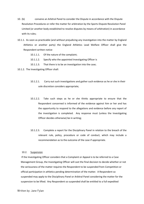- 10. (b) convene an Arbitral Panel to consider the Dispute in accordance with the Dispute Resolution Procedures or refer the matter for arbitration by the Sports Dispute Resolution Panel Limited (or another body established to resolve disputes by means of arbitration) in accordance with its rules;
- 10.1.1. As soon as practicable (and without prejudicing any investigation into the matter by England Athletics or another party) the England Athletics Lead Welfare Officer shall give the Respondent written notice
	- 10.1.1.1. Of the nature of the complaint;
	- 10.1.1.2. Specify who the appointed Investigating Officer is
	- 10.1.1.3. That there is to be an investigation into the case;
- 10.1.2. The Investigating Officer shall:
	- 10.1.2.1. Carry out such investigations and gather such evidence as he or she in their sole discretion considers appropriate;
	- 10.1.2.2. Take such steps as he or she thinks appropriate to ensure that the Respondent concerned is informed of the evidence against him or her and has the opportunity to respond to the allegations and evidence before any report of the investigation is completed. Any response must (unless the Investigating Officer decides otherwise) be in writing;
	- 10.1.2.3. Complete a report for the Disciplinary Panel in relation to the breach of the relevant rule, policy, procedure or code of conduct, which may include a recommendation as to the outcome of the case if appropriate.

#### 10.2. Suspension

If the Investigating Officer considers that a Complaint or Appeal is to be referred to a Case Management Group, the Investigating Officer will cast the final decision to decide whether or not the seriousness of the matter requires the Respondent to be suspended from Competition or official participation in athletics pending determination of the matter. A Respondent so suspended may apply to the Disciplinary Panel or Arbitral Panel considering the matter for the suspension to be lifted. Any Respondent so suspended shall be entitled to a full expedited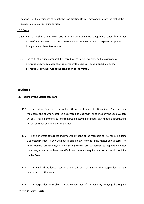hearing. For the avoidance of doubt, the Investigating Officer may communicate the fact of the suspension to relevant third parties.

#### **10.3 Costs**

- 10.3.1 Each party shall bear its own costs (including but not limited to legal costs, scientific or other experts' fees, witness costs) in connection with Complaints made or Disputes or Appeals brought under these Procedures.
- 10.3.2 The costs of any mediator shall be shared by the parties equally and the costs of any arbitration body appointed shall be borne by the parties in such proportions as the arbitration body shall rule at the conclusion of the matter.

### **Section B:**

#### 11. **Hearing by the Disciplinary Panel**

- 11.1. The England Athletics Lead Welfare Officer shall appoint a Disciplinary Panel of three members, one of whom shall be designated as Chairman, appointed by the Lead Welfare Officer. These members shall be from people active in athletics, save that the Investigating Officer shall not be eligible for this Panel.
- 11.2. In the interests of fairness and impartiality none of the members of The Panel, including a co-opted member, if any, shall have been directly involved in the matter being heard. The Lead Welfare Officer and/or Investigating Officer are authorised to appoint co opted members, where it has been identified that there is a requirement for a specialist opinion on the Panel.
- 11.3. The England Athletics Lead Welfare Officer shall inform the Respondent of the composition of The Panel.

11.4. The Respondent may object to the composition of The Panel by notifying the England Written by: Jane Fylan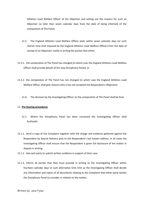Athletics Lead Welfare Officer of the Objection and setting out the reasons for such an Objection no later than seven calendar days from the date of being informed of the composition of The Panel.

- 11.5. The England Athletics Lead Welfare Officer shall, within seven calendar days (or such shorter time limit imposed by the England Athletics Lead Welfare Officer) from the date of receipt of an Objection, notify in writing the parties that either:
- 11.5.1. the composition of The Panel has changed (in which case the England Athletics Lead Welfare Officer shall provide details of the new Disciplinary Panel); or
- 11.5.2. the composition of The Panel has not changed (in which case the England Athletics Lead Welfare Officer shall give reasons why it has not accepted the Respondent's Objection).
	- 11.6. The decision by the Investigating Officer on the composition of The Panel shall be final.

#### 12. **Pre-hearing procedures**

- 12.1. Where the Disciplinary Panel has been convened the Investigating Officer shall forthwith:
- 12.1.1. Send a copy of the Complaint together with the charge and evidence gathered against the Respondent by Special Delivery post to the Respondent's last known address. In all cases the Investigating Officer shall ensure that the Respondent is given full disclosure of the matter in dispute in writing.
- 12.1.2. Ask each party to submit written evidence in support of their case.
- 12.1.3. Inform all parties that they must provide in writing to the Investigating Officer within fourteen calendar days or such alternative time limit as the Investigating Officer shall decide any information and copies of all documents relating to the Complaint that either party wishes the Disciplinary Panel to consider in relation to the matter;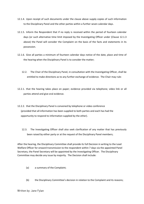- 12.1.4. Upon receipt of such documents under the clause above supply copies of such information to the Disciplinary Panel and the other parties within a further seven calendar days.
- 12.1.5. Inform the Respondent that if no reply is received within the period of fourteen calendar days (or such alternative time limit imposed by the Investigating Officer under (Clause 12.1.3 above) the Panel will consider the Complaint on the basis of the facts and statements in its possession.
- 12.1.6. Give all parties a minimum of fourteen calendar days notice of the date, place and time of the hearing when the Disciplinary Panel is to consider the matter;
	- 12.2. The Chair of the Disciplinary Panel, in consultation with the Investigating Officer, shall be entitled to make directions as to any further exchange of evidence. The Chair may rule:
- 12.2.1. that the hearing takes place on paper; evidence provided via telephone; video link or all parties attend and give oral evidence.
- 12.2.2. that the Disciplinary Panel is convened by telephone or video conference (provided that all information has been supplied to both parties and each has had the opportunity to respond to information supplied by the other).
	- 12.3. The Investigating Officer shall also seek clarification of any matter that has previously been raised by either party or at the request of the Disciplinary Panel members;

After the hearing, the Disciplinary Committee shall provide its full Decision in writing to the Lead Welfare Officer for onward transmission to the respondent within 7 days via the appointed Panel Secretary, the Panel Secretary will be appointed by the Investigating Officer. The Disciplinary Committee may decide any issue by majority. The Decision shall include:

- (a) a summary of the Complaint;
- (b) the Disciplinary Committee's decision in relation to the Complaint and its reasons;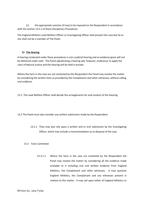(c) the appropriate sanction (if any) to be imposed on the Respondent in accordance with the section 12.5.2 of these Disciplinary Procedures.

The England Athletics Lead Welfare Officer or Investigating Officer shall present the case but he or she shall not be a member of The Panel.

#### **13 The Hearing**

A hearing conducted under these procedures is not a judicial hearing and so evidence given will not be delivered under oath. The Panel adjudicating a hearing will, however, endeavour to apply the rules of Natural Justice and the hearing will be held in private.

Where the facts in the case are not contested by the Respondent the Panel may resolve the matter by considering the written facts as provided by the Complainant and other witnesses, without calling oral evidence.

13.1. The Lead Welfare Officer shall decide the arrangements for and conduct of the Hearing.

13.2 The Panel must also consider any written submission made by the Respondent.

13.2.1 They may also rely upon a written and or oral submission by the Investigating Officer, which may include a recommendation as to disposal of the case.

#### 13.3 Facts Contested:

13.3.1.1 Where the facts in the case are contested by the Respondent the Panel may resolve the matter by considering all the evidence made available to it including oral and written evidence from England Athletics, the Complainant and other witnesses. It may question England Athletics, the Complainant and any witnesses present in relation to the matter. It may call upon either of England Athletics or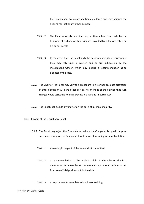the Complainant to supply additional evidence and may adjourn the hearing for that or any other purpose.

- 13.3.1.2 The Panel must also consider any written submission made by the Respondent and any written evidence provided by witnesses called on his or her behalf.
- 13.3.1.3 In the event that The Panel finds the Respondent guilty of misconduct they may rely upon a written and or oral submission by the Investigating Officer, which may include a recommendation as to disposal of the case.
- 13.3.2 The Chair of The Panel may vary this procedure in his or her absolute discretion if, after discussion with the other parties, he or she is of the opinion that such change would assist the Hearing process in a fair and impartial way.
- 13.3.3 The Panel shall decide any matter on the basis of a simple majority.

#### 13.4 Powers of the Disciplinary Panel

- 13.4.1 The Panel may reject the Complaint or, where the Complaint is upheld, impose such sanctions upon the Respondent as it thinks fit including without limitation:
	- 13.4.1.1 a warning in respect of the misconduct committed;
	- 13.4.1.2 a recommendation to the athletics club of which he or she is a member to terminate his or her membership or remove him or her from any official position within the club;
	- 13.4.1.3 a requirement to complete education or training;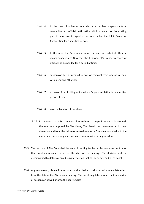- 13.4.1.4 in the case of a Respondent who is an athlete suspension from competition (or official participation within athletics) or from taking part in any event organized or run under the UKA Rules for Competition for a specified period;
- 13.4.1.5 In the case of a Respondent who is a coach or technical official a recommendation to UKA that the Respondent's licence to coach or officiate be suspended for a period of time;
- 13.4.1.6 suspension for a specified period or removal from any office held within England Athletics;
- 13.4.1.7 exclusion from holding office within England Athletics for a specified period of time;
- 13.4.1.8 any combination of the above.
- 13.4.2 In the event that a Respondent fails or refuses to comply in whole or in part with the sanctions imposed by The Panel, The Panel may reconvene at its own discretion and treat the failure or refusal as a fresh Complaint and deal with the matter and impose any sanction in accordance with these procedures.
- 13.5 The decision of The Panel shall be issued in writing to the parties concerned not more than fourteen calendar days from the date of the Hearing. The decision shall be accompanied by details of any disciplinary action that has been agreed by The Panel.
- 13.6 Any suspension, disqualification or expulsion shall normally run with immediate effect from the date of the Disciplinary Hearing. The panel may take into account any period of suspension served prior to the hearing date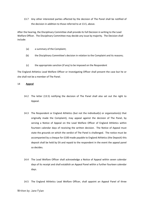13.7 Any other interested parties affected by the decision of The Panel shall be notified of the decision in addition to those referred to at 13.5, above.

After the hearing, the Disciplinary Committee shall provide its full Decision in writing to the Lead Welfare Officer. The Disciplinary Committee may decide any issue by majority. The Decision shall include:

- (a) a summary of the Complaint;
- (b) the Disciplinary Committee's decision in relation to the Complaint and its reasons;
- (c) the appropriate sanction (if any) to be imposed on the Respondent

The England Athletics Lead Welfare Officer or Investigating Officer shall present the case but he or she shall not be a member of The Panel.

#### 14 **Appeal**

- 14.2 The letter (13.5) notifying the decision of The Panel shall also set out the right to Appeal.
- 14.3 The Respondent or England Athletics (but not the individual(s) or organization(s) that originally made the Complaint), may appeal against the decision of The Panel, by serving a Notice of Appeal on the Lead Welfare Officer of England Athletics within fourteen calendar days of receiving the written decision. The Notice of Appeal must state the grounds on which the verdict of The Panel is challenged. The notice must be accompanied by a cheque for £100 made payable to England Athletics (the Deposit) this deposit shall be held by EA and repaid to the respondent in the event the appeal panel so decides.
- 14.4 The Lead Welfare Officer shall acknowledge a Notice of Appeal within seven calendar days of its receipt and shall establish an Appeal Panel within a further fourteen calendar days.
- 14.5 The England Athletics Lead Welfare Officer, shall appoint an Appeal Panel of three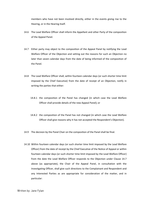members who have not been involved directly, either in the events giving rise to the Hearing, or in the Hearing itself.

- 14.6 The Lead Welfare Officer shall inform the Appellant and other Party of the composition of the Appeal Panel.
- 14.7 Either party may object to the composition of the Appeal Panel by notifying the Lead Welfare Officer of the Objection and setting out the reasons for such an Objection no later than seven calendar days from the date of being informed of the composition of the Panel.
- 14.8 The Lead Welfare Officer shall, within fourteen calendar days (or such shorter time limit imposed by the Chief Executive) from the date of receipt of an Objection, notify in writing the parties that either:
	- 14.8.1 the composition of the Panel has changed (in which case the Lead Welfare Officer shall provide details of the new Appeal Panel); or
	- 14.8.2 the composition of the Panel has not changed (in which case the Lead Welfare Officer shall give reasons why it has not accepted the Respondent's Objection).
- 14.9 The decision by the Panel Chair on the composition of the Panel shall be final.
- 14.10 Within fourteen calendar days (or such shorter time limit imposed by the Lead Welfare Officer) from the date of receipt by the Chief Executive of the Notice of Appeal or within fourteen calendar days (or such shorter time limit imposed by the Lead Welfare Officer) from the date the Lead Welfare Officer responds to the Objection under Clause 14.7 above (as appropriate), the Chair of the Appeal Panel, in consultation with the Investigating Officer, shall give such directions to the Complainant and Respondent and any Interested Parties as are appropriate for consideration of the matter, and in particular: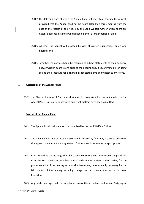- 14.10.1 the date and place at which the Appeal Panel will meet to determine the Appeal, provided that the Appeal shall not be heard later than three months from the date of the receipt of the Notice by the Lead Welfare Officer unless there are exceptional circumstances which should permit a longer period of time;
- 14.10.2 whether the appeal will proceed by way of written submissions or an oral hearing; and
- 14.10.3 whether the parties should be required to submit statements of their evidence and/or written submissions prior to the hearing and, if so, a timetable for doing so and the procedure for exchanging such statements and written submissions.

#### 15 **Jurisdiction of the Appeal Panel**

15.2 The Chair of the Appeal Panel may decide on its own jurisdiction, including whether the Appeal Panel is properly constituted and what matters have been submitted.

#### 16 **Powers of the Appeal Panel**

- 16.2 The Appeal Panel shall meet on the date fixed by the Lead Welfare Officer.
- 16.3 The Appeal Panel may at its sole discretion disregard any failure by a party to adhere to this appeal procedure and may give such further directions as may be appropriate.
- 16.4 Prior to and at the hearing, the Chair, after consulting with the Investigating Officer, may give such directions whether or not made at the request of the parties, for the proper conduct of the hearing as he or she deems may be reasonably necessary for the fair conduct of the hearing, including changes to the procedure as set out in these Procedures.

16.5 Any such hearings shall be in private unless the Appellant and other Party agree Written by: Jane Fylan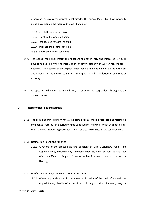otherwise, or unless the Appeal Panel directs. The Appeal Panel shall have power to make a decision on the facts as it thinks fit and may:

- 16.5.1 quash the original decision;
- 16.5.2 Confirm the original findings
- 16.5.3 the case be reheard (re-trial)
- 16.5.4 increase the original sanction;
- 16.5.5 abate the original sanction;
- 16.6 The Appeal Panel shall inform the Appellant and other Party and Interested Parties (if any) of its decision within fourteen calendar days together with written reasons for its decision. The decision of the Appeal Panel shall be final and binding on the Appellant and other Party and Interested Parties. The Appeal Panel shall decide on any issue by majority.
- 16.7 A supporter, who must be named, may accompany the Respondent throughout the appeal process.

#### 17 **Records of Hearings and Appeals**

17.2 The decisions of Disciplinary Panels, including appeals, shall be recorded and retained in confidential records for a period of time specified by The Panel, which shall not be less than six years. Supporting documentation shall also be retained in the same fashion.

#### 17.3 Notification to England Athletics

17.3.1 A record of the proceedings and decisions of Club Disciplinary Panels, and Appeal Panels, including any sanctions imposed, shall be sent to the Lead Welfare Officer of England Athletics within fourteen calendar days of the Hearing.

#### 17.4 Notification to UKA, National Association and others

17.4.1 Where appropriate and in the absolute discretion of the Chair of a Hearing or Appeal Panel, details of a decision, including sanctions imposed, may be

#### Written by: Jane Fylan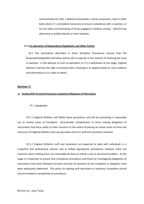communicated to UKA, a National Association, county association, club or other body where it is considered necessary to ensure compliance with a sanction, or for the safety and well-being of those engaged in athletics activity. UKA/EA may determine to publish details on their websites.

#### 18.0 **Co-operation of Respondents/Appellants and Other Parties**

18.1 The procedures described in these Discipline Procedures assume that the Respondent/Appellant and other parties will co-operate in the interest of resolving the issue in question. In the absence of such co-operation, or if it is withdrawn at any stage, England Athletics reserves the right to proceed with a Hearing or an Appeal based on such evidence and information as it is able to obtain.

#### **Section C:**

#### 19 **Dealing With Persistent/Vexatious Complaints/Allegations Of Misconduct**

19.1 Introduction

19.1.1 England Athletics will follow these procedures and will do everything it reasonably can to resolve issues of Complaint. Occasionally, Complainants or those making allegations of misconduct may focus solely on their concerns to the extent of placing an undue strain on time and resources of England Athletics and causing undue stress to staff and volunteers involved.

19.1.2 England Athletics staff and volunteers are expected to deal with individuals in a respectful and professional manner and to follow appropriate procedures; however there are instances when nothing more can reasonably be done to rectify a real or perceived problem. At this stage it is important to ensure that Complaints procedures and those for investigating allegations of misconduct have been followed correctly and that all elements of the Complaint or allegation have been adequately addressed. This policy for dealing with persistent or vexatious Complaints should only be invoked in exceptional circumstances.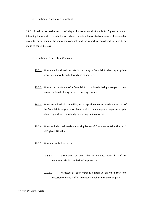#### 19.2 Definition of a vexatious Complaint

19.2.1 A written or verbal report of alleged improper conduct made to England Athletics intending the report to be acted upon, where there is a demonstrable absence of reasonable grounds for suspecting the improper conduct, and the report is considered to have been made to cause distress.

#### 19.3 Definition of a persistent Complaint

- 19.3.1 Where an individual persists in pursuing a Complaint when appropriate procedures have been followed and exhausted.
- 19.3.2 Where the substance of a Complaint is continually being changed or new issues continually being raised to prolong contact.
- 19.3.3 When an individual is unwilling to accept documented evidence as part of the Complaints response, or deny receipt of an adequate response in spite of correspondence specifically answering their concerns.
- 19.3.4 When an individual persists in raising issues of Complaint outside the remit of England Athletics.
- 19.3.5 Where an individual has:
	- 19.3.5.1 threatened or used physical violence towards staff or volunteers dealing with the Complaint; or
	- 19.3.5.2 harassed or been verbally aggressive on more than one occasion towards staff or volunteers dealing with the Complaint.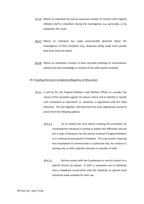- 19.3.6 Where an individual has had an excessive number of contacts with England Athletics staff or volunteers during the investigation, e.g. personally, or by telephone, fax, email.
- 19.3.7 Where an individual has made unreasonable demands about the investigation of their Complaint (e.g. responses being made more quickly than time limits set down).
- 19.3.8 Where an individual is known to have recorded meetings or conversations without the prior knowledge or consent of the other parties involved.

#### 19.4 Handling Persistent Complaints/Allegations of Misconduct

- 19.4.1 It will be for the England Athletics Lead Welfare Officer to consider the nature of the Complaint against the above criteria and to identify or classify such Complaints as 'persistent' or 'vexatious' in agreement with the Chief Executive. The two together, will determine the most appropriate course of action from the following options:
	- 19.4.1.1 Try to resolve the issue before invoking this procedure, by contacting the individual in writing to explain the difficulties and set out a code of behaviour for the parties involved if England Athletics is to continue processing the Complaint. This may involve requiring the Complainant to communicate in a particular way, for instance in writing only, or with a specific volunteer or member of staff.
	- 19.4.1.2 Decline contact with the Complainant or restrict contact to a specific format (as above). If staff or volunteers are to withdraw from a telephone conversation with the individual, an agreed script should be made available for their use.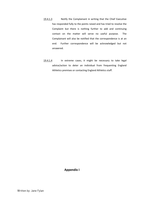- 19.4.1.3 Notify the Complainant in writing that the Chief Executive has responded fully to the points raised and has tried to resolve the Complaint but there is nothing further to add and continuing contact on the matter will serve no useful purpose. The Complainant will also be notified that the correspondence is at an end. Further correspondence will be acknowledged but not answered.
- 19.4.1.4 In extreme cases, it might be necessary to take legal advice/action to deter an individual from frequenting England Athletics premises or contacting England Athletics staff.

# **Appendix I**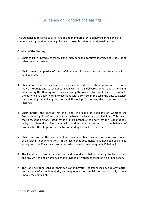# Guidance on Conduct of Hearings

This guidance is designed to assist Chairs and members of Disciplinary Hearing Panels to conduct hearings and to provide guidance to possible outcomes and panel decisions.

#### **Conduct of the Hearing**

- 1. Chair of Panel introduces fellow Panel members and confirms identity and status of all other persons present;
- 2. Chair reminds all parties of the confidentiality of the Hearing and that Hearing will be held in private.
- 3. Chair informs all parties that a Hearing conducted under these procedures is not a judicial Hearing and so evidence given will not be delivered under oath. The Panel adjudicating the Hearing will, however, apply the rules of Natural Justice. For example the duty to give a fair hearing to everyone with a concern in the case, the duty to explain the reasoning behind any decision and the obligation for any decision-makers to be impartial.
- 4. Chair informs the parties that the Panel will make its decisions on whether the Respondent is guilty of misconduct on the basis of a balance of probabilities. This means that it must be demonstrated that it is "more probable than not" that the Respondent is guilty of misconduct. The panel will consider whether or not on the balance of probabilities the allegations are substantiated by the facts of the case.
- 5. Chair confirms that the Respondent and Panel members have previously received copies of all relevant documentation. (In the event that documents have not been exchanged as required, the Chair may consider an adjournment – see paragraph 11 below.)
- 6. The Panel must consider any written and or oral submission made by the Respondent and any written and or oral evidence provided by witnesses called on his or her behalf.
- 7. The Panel will then consider their decision in private. The Panel shall decide any matter on the basis of a simple majority and may reject the complaint or may partially or fully uphold the complaint.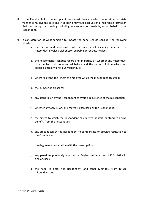- 8. If the Panel upholds the complaint they must then consider the most appropriate manner to resolve the case and in so doing may take account of all relevant information disclosed during the Hearing, including any submission made by or on behalf of the Respondent.
- 9. In consideration of what sanction to impose the panel should consider the following criteria:
	- a. the nature and seriousness of the misconduct including whether the misconduct involved dishonesty, culpable or reckless neglect;
	- b. the Respondent's conduct record and, in particular, whether any misconduct of a similar kind has occurred before and the period of time which has elapsed since any previous misconduct.
	- c. where relevant, the length of time over which the misconduct occurred;
	- d. the number of breaches;
	- e. any steps taken by the Respondent to avoid a recurrence of the misconduct;
	- f. whether any admission, and regret is expressed by the Respondent;
	- g. the extent to which the Respondent has derived benefit, or stood to derive benefit, from the misconduct;
	- h. any steps taken by the Respondent to compensate or provide restitution to the Complainant;
	- i. the degree of co-operation with the Investigation;
	- j. any penalties previously imposed by England Athletics and UK Athletics in similar cases;
	- k. the need to deter the Respondent and other Members from future misconduct; and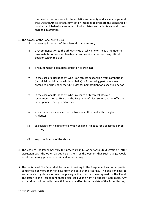- l. the need to demonstrate to the athletics community and society in general, that England Athletics takes firm action intended to promote the standards of conduct and behaviour required of all athletes and volunteers and others engaged in athletics.
- 10. The powers of the Panel are to issue:
	- i. a warning in respect of the misconduct committed;
	- ii. a recommendation to the athletics club of which he or she is a member to terminate his or her membership or remove him or her from any official position within the club;
	- iii. a requirement to complete education or training;
	- iv. in the case of a Respondent who is an athlete suspension from competition (or official participation within athletics) or from taking part in any event organized or run under the UKA Rules for Competition for a specified period;
	- v. In the case of a Respondent who is a coach or technical official a recommendation to UKA that the Respondent's license to coach or officiate be suspended for a period of time;
	- vi. suspension for a specified period from any office held within England Athletics;
	- vii. exclusion from holding office within England Athletics for a specified period of time;
	- viii. any combination of the above.
- 11. The Chair of The Panel may vary this procedure in his or her absolute discretion if, after discussion with the other parties he or she is of the opinion that such change would assist the Hearing process in a fair and impartial way.
- 12. The decision of The Panel shall be issued in writing to the Respondent and other parties concerned not more than ten days from the date of the Hearing. The decision shall be accompanied by details of any disciplinary action that has been agreed by The Panel. The letter to the Respondent should also set out the right to appeal if applicable. Any suspension shall normally run with immediate effect from the date of the Panel Hearing.